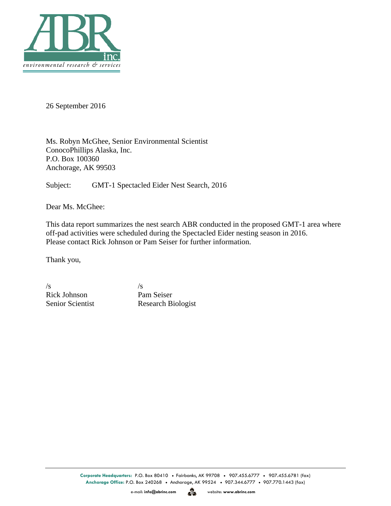

26 September 2016

Ms. Robyn McGhee, Senior Environmental Scientist ConocoPhillips Alaska, Inc. P.O. Box 100360 Anchorage, AK 99503

Subject: GMT-1 Spectacled Eider Nest Search, 2016

Dear Ms. McGhee:

This data report summarizes the nest search ABR conducted in the proposed GMT-1 area where off-pad activities were scheduled during the Spectacled Eider nesting season in 2016. Please contact Rick Johnson or Pam Seiser for further information.

Thank you,

 $\sqrt{s}$  /s Rick Johnson Pam Seiser

Senior Scientist Research Biologist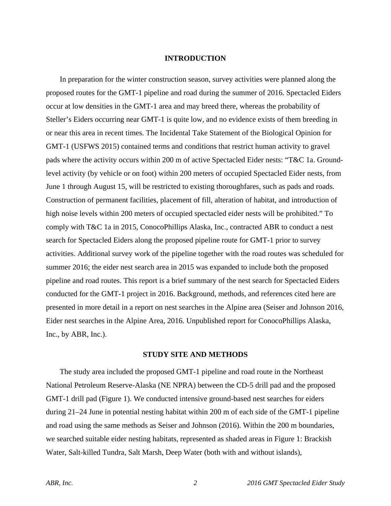## **INTRODUCTION**

In preparation for the winter construction season, survey activities were planned along the proposed routes for the GMT-1 pipeline and road during the summer of 2016. Spectacled Eiders occur at low densities in the GMT-1 area and may breed there, whereas the probability of Steller's Eiders occurring near GMT-1 is quite low, and no evidence exists of them breeding in or near this area in recent times. The Incidental Take Statement of the Biological Opinion for GMT-1 (USFWS 2015) contained terms and conditions that restrict human activity to gravel pads where the activity occurs within 200 m of active Spectacled Eider nests: "T&C 1a. Groundlevel activity (by vehicle or on foot) within 200 meters of occupied Spectacled Eider nests, from June 1 through August 15, will be restricted to existing thoroughfares, such as pads and roads. Construction of permanent facilities, placement of fill, alteration of habitat, and introduction of high noise levels within 200 meters of occupied spectacled eider nests will be prohibited." To comply with T&C 1a in 2015, ConocoPhillips Alaska, Inc., contracted ABR to conduct a nest search for Spectacled Eiders along the proposed pipeline route for GMT-1 prior to survey activities. Additional survey work of the pipeline together with the road routes was scheduled for summer 2016; the eider nest search area in 2015 was expanded to include both the proposed pipeline and road routes. This report is a brief summary of the nest search for Spectacled Eiders conducted for the GMT-1 project in 2016. Background, methods, and references cited here are presented in more detail in a report on nest searches in the Alpine area (Seiser and Johnson 2016, Eider nest searches in the Alpine Area, 2016. Unpublished report for ConocoPhillips Alaska, Inc., by ABR, Inc.).

## **STUDY SITE AND METHODS**

The study area included the proposed GMT-1 pipeline and road route in the Northeast National Petroleum Reserve-Alaska (NE NPRA) between the CD-5 drill pad and the proposed GMT-1 drill pad (Figure 1). We conducted intensive ground-based nest searches for eiders during 21–24 June in potential nesting habitat within 200 m of each side of the GMT-1 pipeline and road using the same methods as Seiser and Johnson (2016). Within the 200 m boundaries, we searched suitable eider nesting habitats, represented as shaded areas in Figure 1: Brackish Water, Salt-killed Tundra, Salt Marsh, Deep Water (both with and without islands),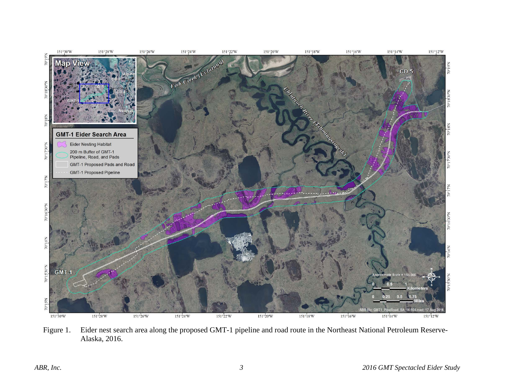

Figure 1. Eider nest search area along the proposed GMT-1 pipeline and road route in the Northeast National Petroleum Reserve-Alaska, 2016.